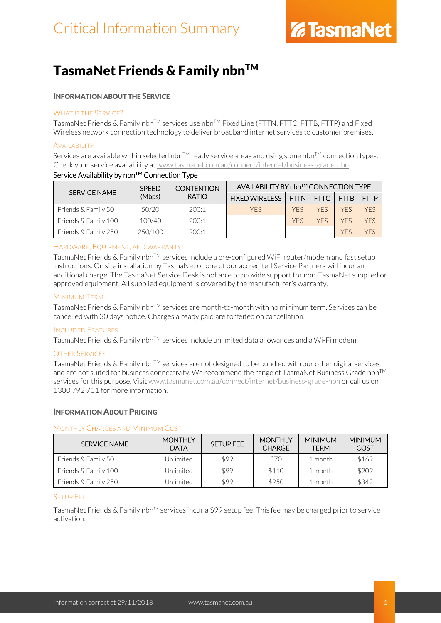### TasmaNet Friends & Family nbn™

### INFORMATION ABOUT THE SERVICE

### WHAT IS THE SERVICE?

TasmaNet Friends & Family nbn™ services use nbn™ Fixed Line (FTTN, FTTC, FTTB, FTTP) and Fixed Wireless network connection technology to deliver broadband internet services to customer premises.

### **AVAILABILITY**

Services are available within selected nbn™ ready service areas and using some nbn™ connection types. Check your service availability a[t www.tasmanet.com.au/connect/internet/business-grade-nbn.](http://www.tasmanet.com.au/connect/internet/business-grade-nbn)

| <b>SERVICE NAME</b>  | <b>SPEED</b><br>(Mbps) | <b>CONTENTION</b><br><b>RATIO</b> | AVAILABILITY BY nbn™ CONNECTION TYPE |             |             |             |             |
|----------------------|------------------------|-----------------------------------|--------------------------------------|-------------|-------------|-------------|-------------|
|                      |                        |                                   | <b>FIXED WIRELESS</b>                | <b>FTTN</b> | <b>FTTC</b> | <b>FTTB</b> | <b>FTTP</b> |
| Friends & Family 50  | 50/20                  | 200:1                             | <b>YFS</b>                           | YFS         | <b>YFS</b>  | YFS         | <b>YFS</b>  |
| Friends & Family 100 | 100/40                 | 200:1                             |                                      | <b>YFS</b>  | YFS         | YFS         | <b>YFS</b>  |
| Friends & Family 250 | 250/100                | 200:1                             |                                      |             |             | <b>YFS</b>  | YFS         |

### Service Availability by nbn™ Connection Type

### HARDWARE, EQUIPMENT, AND WARRANTY

TasmaNet Friends & Family nbnTM services include a pre-configured WiFi router/modem and fast setup instructions. On site installation by TasmaNet or one of our accredited Service Partners will incur an additional charge. The TasmaNet Service Desk is not able to provide support for non-TasmaNet supplied or approved equipment. All supplied equipment is covered by the manufacturer's warranty.

### MINIMUM TERM

TasmaNet Friends & Family nbn™ services are month-to-month with no minimum term. Services can be cancelled with 30 days notice. Charges already paid are forfeited on cancellation.

### INCLUDED FEATURES

TasmaNet Friends & Family nbn<sup>TM</sup> services include unlimited data allowances and a Wi-Fi modem.

### OTHER SERVICES

TasmaNet Friends & Family nbn<sup>TM</sup> services are not designed to be bundled with our other digital services and are not suited for business connectivity. We recommend the range of TasmaNet Business Grade nbn™ services for this purpose. Visi[t www.tasmanet.com.au/connect/internet/business-grade-nbn](http://www.tasmanet.com.au/connect/internet/business-grade-nbn) or call us on 1300 792 711 for more information.

### INFORMATION ABOUT PRICING

### MONTHLY CHARGES AND MINIMUM COST

| SERVICE NAME         | <b>MONTHLY</b><br><b>DATA</b> | SETUP FEE | <b>MONTHLY</b><br><b>CHARGE</b> | <b>MINIMUM</b><br>TFRM | <b>MINIMUM</b><br><b>COST</b> |
|----------------------|-------------------------------|-----------|---------------------------------|------------------------|-------------------------------|
| Friends & Family 50  | Unlimited                     | \$99      | \$70                            | 1 month                | \$169                         |
| Friends & Family 100 | Jnlimited                     | \$99      | \$110                           | 1 month                | \$209                         |
| Friends & Family 250 | Jnlimited                     | \$99      | \$250                           | l month                | \$349                         |

### SETUP FEE

TasmaNet Friends & Family nbn™ services incur a \$99 setup fee. This fee may be charged prior to service activation.